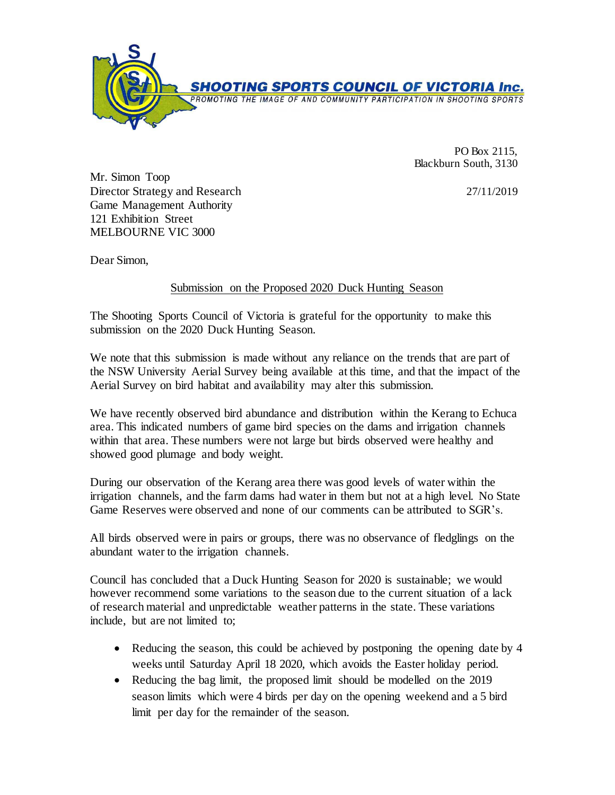

PO Box 2115, Blackburn South, 3130

Mr. Simon Toop Director Strategy and Research 27/11/2019 Game Management Authority 121 Exhibition Street MELBOURNE VIC 3000

Dear Simon,

## Submission on the Proposed 2020 Duck Hunting Season

The Shooting Sports Council of Victoria is grateful for the opportunity to make this submission on the 2020 Duck Hunting Season.

We note that this submission is made without any reliance on the trends that are part of the NSW University Aerial Survey being available at this time, and that the impact of the Aerial Survey on bird habitat and availability may alter this submission.

We have recently observed bird abundance and distribution within the Kerang to Echuca area. This indicated numbers of game bird species on the dams and irrigation channels within that area. These numbers were not large but birds observed were healthy and showed good plumage and body weight.

During our observation of the Kerang area there was good levels of water within the irrigation channels, and the farm dams had water in them but not at a high level. No State Game Reserves were observed and none of our comments can be attributed to SGR's.

All birds observed were in pairs or groups, there was no observance of fledglings on the abundant water to the irrigation channels.

Council has concluded that a Duck Hunting Season for 2020 is sustainable; we would however recommend some variations to the season due to the current situation of a lack of research material and unpredictable weather patterns in the state. These variations include, but are not limited to;

- Reducing the season, this could be achieved by postponing the opening date by 4 weeks until Saturday April 18 2020, which avoids the Easter holiday period.
- Reducing the bag limit, the proposed limit should be modelled on the 2019 season limits which were 4 birds per day on the opening weekend and a 5 bird limit per day for the remainder of the season.